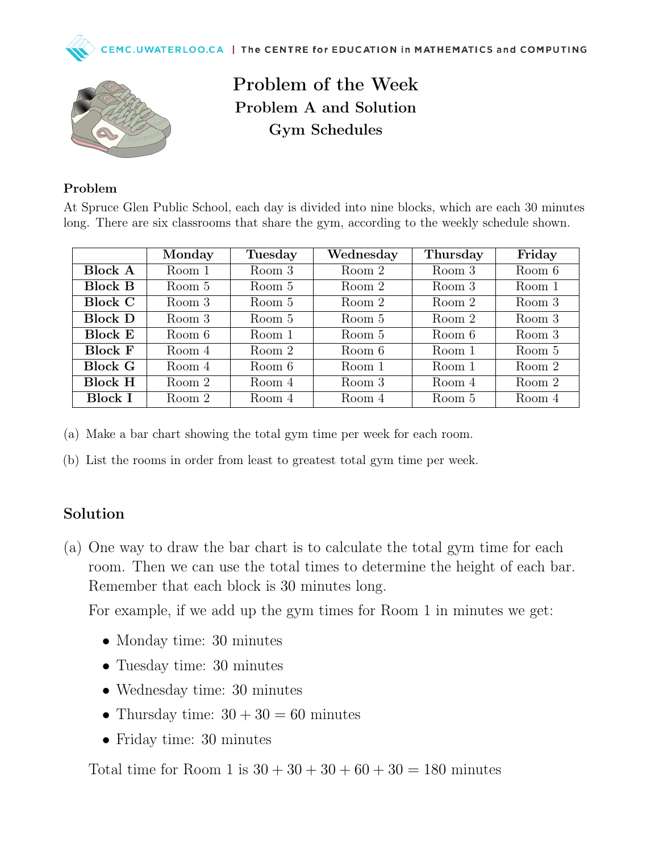



Problem of the Week Problem A and Solution Gym Schedules

## Problem

At Spruce Glen Public School, each day is divided into nine blocks, which are each 30 minutes long. There are six classrooms that share the gym, according to the weekly schedule shown.

|                | Monday | Tuesday | Wednesday | Thursday | Friday |
|----------------|--------|---------|-----------|----------|--------|
| <b>Block A</b> | Room 1 | Room 3  | Room 2    | Room 3   | Room 6 |
| <b>Block B</b> | Room 5 | Room 5  | Room 2    | Room 3   | Room 1 |
| <b>Block C</b> | Room 3 | Room 5  | Room 2    | Room 2   | Room 3 |
| <b>Block D</b> | Room 3 | Room 5  | Room 5    | Room 2   | Room 3 |
| <b>Block E</b> | Room 6 | Room 1  | Room 5    | Room 6   | Room 3 |
| <b>Block F</b> | Room 4 | Room 2  | Room 6    | Room 1   | Room 5 |
| <b>Block G</b> | Room 4 | Room 6  | Room 1    | Room 1   | Room 2 |
| <b>Block H</b> | Room 2 | Room 4  | Room 3    | Room 4   | Room 2 |
| <b>Block I</b> | Room 2 | Room 4  | Room 4    | Room 5   | Room 4 |

(a) Make a bar chart showing the total gym time per week for each room.

(b) List the rooms in order from least to greatest total gym time per week.

## Solution

(a) One way to draw the bar chart is to calculate the total gym time for each room. Then we can use the total times to determine the height of each bar. Remember that each block is 30 minutes long.

For example, if we add up the gym times for Room 1 in minutes we get:

- Monday time: 30 minutes
- Tuesday time: 30 minutes
- Wednesday time: 30 minutes
- Thursday time:  $30 + 30 = 60$  minutes
- Friday time: 30 minutes

Total time for Room 1 is  $30 + 30 + 30 + 60 + 30 = 180$  minutes